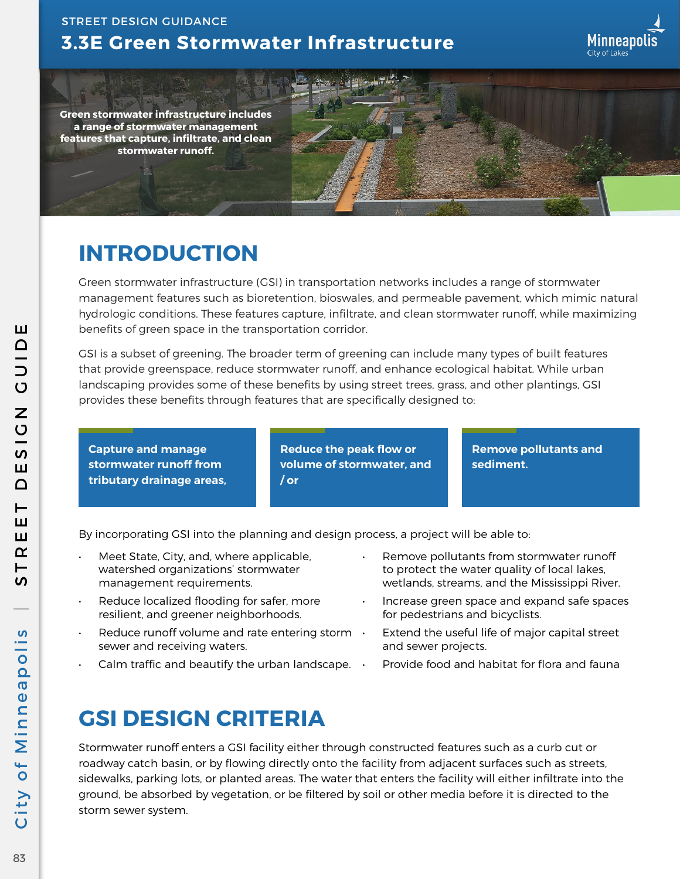41 方



**Green stormwater infrastructure includes a range of stormwater management features that capture, infiltrate, and clean stormwater runoff.**

# **INTRODUCTION**

Green stormwater infrastructure (GSI) in transportation networks includes a range of stormwater management features such as bioretention, bioswales, and permeable pavement, which mimic natural hydrologic conditions. These features capture, infiltrate, and clean stormwater runoff, while maximizing benefits of green space in the transportation corridor.

GSI is a subset of greening. The broader term of greening can include many types of built features that provide greenspace, reduce stormwater runoff, and enhance ecological habitat. While urban landscaping provides some of these benefits by using street trees, grass, and other plantings, GSI provides these benefits through features that are specifically designed to:

**Capture and manage stormwater runoff from tributary drainage areas,** **Reduce the peak flow or volume of stormwater, and / or**

**Remove pollutants and sediment.**

By incorporating GSI into the planning and design process, a project will be able to:

- Meet State, City, and, where applicable, watershed organizations' stormwater management requirements.
- Reduce localized flooding for safer, more resilient, and greener neighborhoods.
- Reduce runoff volume and rate entering storm  $\cdot$ sewer and receiving waters.
- Calm traffic and beautify the urban landscape.  $\cdot$
- Remove pollutants from stormwater runoff to protect the water quality of local lakes, wetlands, streams, and the Mississippi River.
- Increase green space and expand safe spaces for pedestrians and bicyclists.
- Extend the useful life of major capital street and sewer projects.
- Provide food and habitat for flora and fauna

# **GSI DESIGN CRITERIA**

Stormwater runoff enters a GSI facility either through constructed features such as a curb cut or roadway catch basin, or by flowing directly onto the facility from adjacent surfaces such as streets, sidewalks, parking lots, or planted areas. The water that enters the facility will either infiltrate into the ground, be absorbed by vegetation, or be filtered by soil or other media before it is directed to the storm sewer system.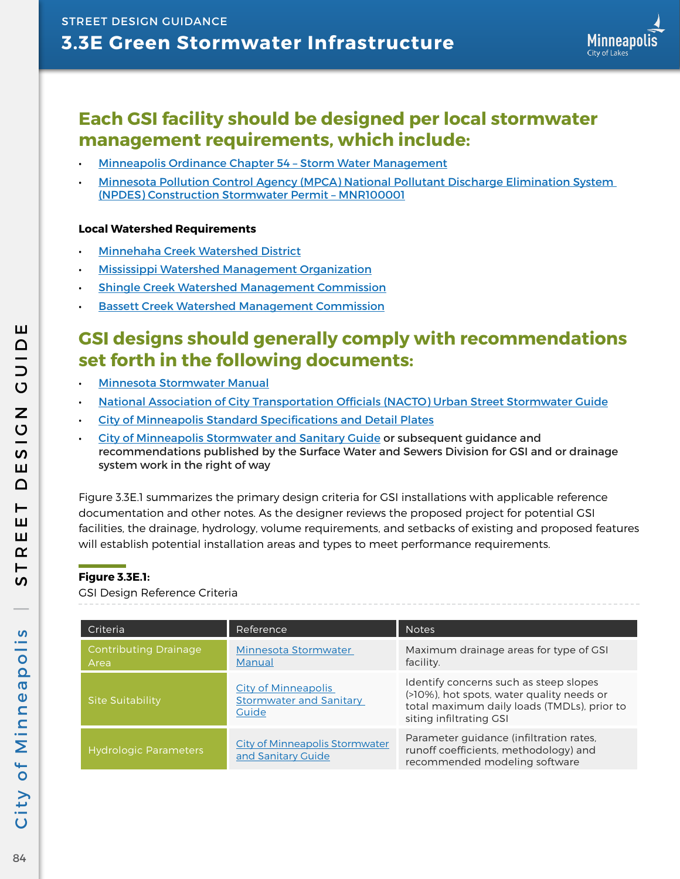## **Each GSI facility should be designed per local stormwater management requirements, which include:**

- [Minneapolis Ordinance Chapter 54 Storm Water Management](https://library.municode.com/mn/minneapolis/codes/code_of_ordinances?nodeId=COOR_TIT3AIPOENPR_CH54STWAMA)
- [Minnesota Pollution Control Agency \(MPCA\) National Pollutant Discharge Elimination System](https://www.pca.state.mn.us/sites/default/files/Draft Permit  MNR100001  4-09-2018.pdf)  [\(NPDES\) Construction Stormwater Permit – MNR100001](https://www.pca.state.mn.us/sites/default/files/Draft Permit - MNR100001 - 4-09-2018.pdf)

#### **Local Watershed Requirements**

- [Minnehaha Creek Watershed District](https://www.minnehahacreek.org/)
- [Mississippi Watershed Management Organization](https://www.mwmo.org/)
- [Shingle Creek Watershed Management Commission](http://www.shinglecreek.org/)
- **[Bassett Creek Watershed Management Commission](https://www.bassettcreekwmo.org/)**

## **GSI designs should generally comply with recommendations set forth in the following documents:**

- [Minnesota Stormwater Manual](https://stormwater.pca.state.mn.us/index.php?title=Main_Page)
- [National Association of City Transportation Officials \(NACTO\) Urban Street Stormwater Guide](https://nacto.org/publication/urban-street-stormwater-guide/)
- [City of Minneapolis Standard Specifications and Detail Plates](http://www2.minneapolismn.gov/publicworks/plates/index.htm)
- [City of Minneapolis Stormwater and Sanitary Guide](http://www2.minneapolismn.gov/www/groups/public/@publicworks/documents/webcontent/wcmsp-205493.pdf) or subsequent guidance and recommendations published by the Surface Water and Sewers Division for GSI and or drainage system work in the right of way

Figure 3.3E.1 summarizes the primary design criteria for GSI installations with applicable reference documentation and other notes. As the designer reviews the proposed project for potential GSI facilities, the drainage, hydrology, volume requirements, and setbacks of existing and proposed features will establish potential installation areas and types to meet performance requirements.

#### **Figure 3.3E.1:**

GSI Design Reference Criteria

| Criteria                             | Reference                                                             | <b>Notes</b>                                                                                                                                                  |
|--------------------------------------|-----------------------------------------------------------------------|---------------------------------------------------------------------------------------------------------------------------------------------------------------|
| <b>Contributing Drainage</b><br>Area | Minnesota Stormwater<br>Manual                                        | Maximum drainage areas for type of GSI<br>facility.                                                                                                           |
| <b>Site Suitability</b>              | <b>City of Minneapolis</b><br><b>Stormwater and Sanitary</b><br>Guide | Identify concerns such as steep slopes<br>(>10%), hot spots, water quality needs or<br>total maximum daily loads (TMDLs), prior to<br>siting infiltrating GSI |
| <b>Hydrologic Parameters</b>         | <b>City of Minneapolis Stormwater</b><br>and Sanitary Guide           | Parameter guidance (infiltration rates,<br>runoff coefficients, methodology) and<br>recommended modeling software                                             |

ш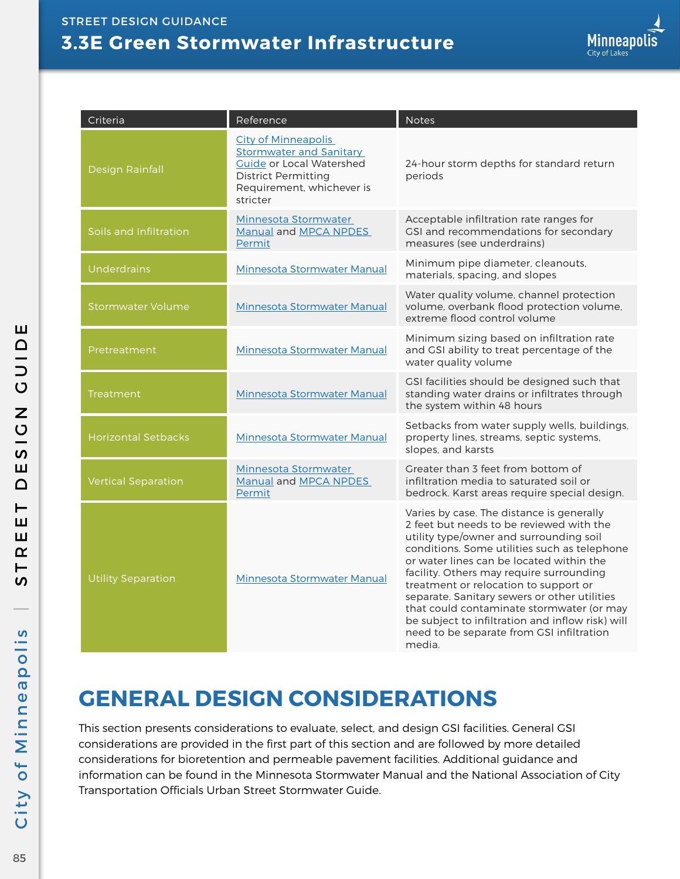| Criteria                   | Reference                                                                                                                                                       | <b>Notes</b>                                                                                                                                                                                                                                                                                                                                                                                                                                                                                                              |
|----------------------------|-----------------------------------------------------------------------------------------------------------------------------------------------------------------|---------------------------------------------------------------------------------------------------------------------------------------------------------------------------------------------------------------------------------------------------------------------------------------------------------------------------------------------------------------------------------------------------------------------------------------------------------------------------------------------------------------------------|
| <b>Design Rainfall</b>     | <b>City of Minneapolis</b><br><b>Stormwater and Sanitary</b><br>Guide or Local Watershed<br><b>District Permitting</b><br>Requirement, whichever is<br>stricter | 24-hour storm depths for standard return<br>periods                                                                                                                                                                                                                                                                                                                                                                                                                                                                       |
| Soils and Infiltration     | Minnesota Stormwater<br>Manual and MPCA NPDES<br>Permit                                                                                                         | Acceptable infiltration rate ranges for<br>GSI and recommendations for secondary<br>measures (see underdrains)                                                                                                                                                                                                                                                                                                                                                                                                            |
| <b>Underdrains</b>         | Minnesota Stormwater Manual                                                                                                                                     | Minimum pipe diameter, cleanouts,<br>materials, spacing, and slopes                                                                                                                                                                                                                                                                                                                                                                                                                                                       |
| Stormwater Volume          | <b>Minnesota Stormwater Manual</b>                                                                                                                              | Water quality volume, channel protection<br>volume, overbank flood protection volume,<br>extreme flood control volume                                                                                                                                                                                                                                                                                                                                                                                                     |
| Pretreatment               | Minnesota Stormwater Manual                                                                                                                                     | Minimum sizing based on infiltration rate<br>and GSI ability to treat percentage of the<br>water quality volume                                                                                                                                                                                                                                                                                                                                                                                                           |
| <b>Treatment</b>           | <b>Minnesota Stormwater Manual</b>                                                                                                                              | CSI facilities should be designed such that<br>standing water drains or infiltrates through<br>the system within 48 hours                                                                                                                                                                                                                                                                                                                                                                                                 |
| <b>Horizontal Setbacks</b> | Minnesota Stormwater Manual                                                                                                                                     | Setbacks from water supply wells, buildings,<br>property lines, streams, septic systems,<br>slopes, and karsts                                                                                                                                                                                                                                                                                                                                                                                                            |
| <b>Vertical Separation</b> | Minnesota Stormwater<br>Manual and MPCA NPDES<br>Permit                                                                                                         | Greater than 3 feet from bottom of<br>infiltration media to saturated soil or<br>bedrock. Karst areas require special design.                                                                                                                                                                                                                                                                                                                                                                                             |
| <b>Utility Separation</b>  | Minnesota Stormwater Manual                                                                                                                                     | Varies by case. The distance is generally<br>2 feet but needs to be reviewed with the<br>utility type/owner and surrounding soil<br>conditions. Some utilities such as telephone<br>or water lines can be located within the<br>facility. Others may require surrounding<br>treatment or relocation to support or<br>separate. Sanitary sewers or other utilities<br>that could contaminate stormwater (or may<br>be subject to infiltration and inflow risk) will<br>need to be separate from GSI infiltration<br>media. |

# **GENERAL DESIGN CONSIDERATIONS**

This section presents considerations to evaluate, select, and design GSI facilities. General GSI considerations are provided in the first part of this section and are followed by more detailed considerations for bioretention and permeable pavement facilities. Additional guidance and information can be found in the Minnesota Stormwater Manual and the National Association of City Transportation Officials Urban Street Stormwater Guide.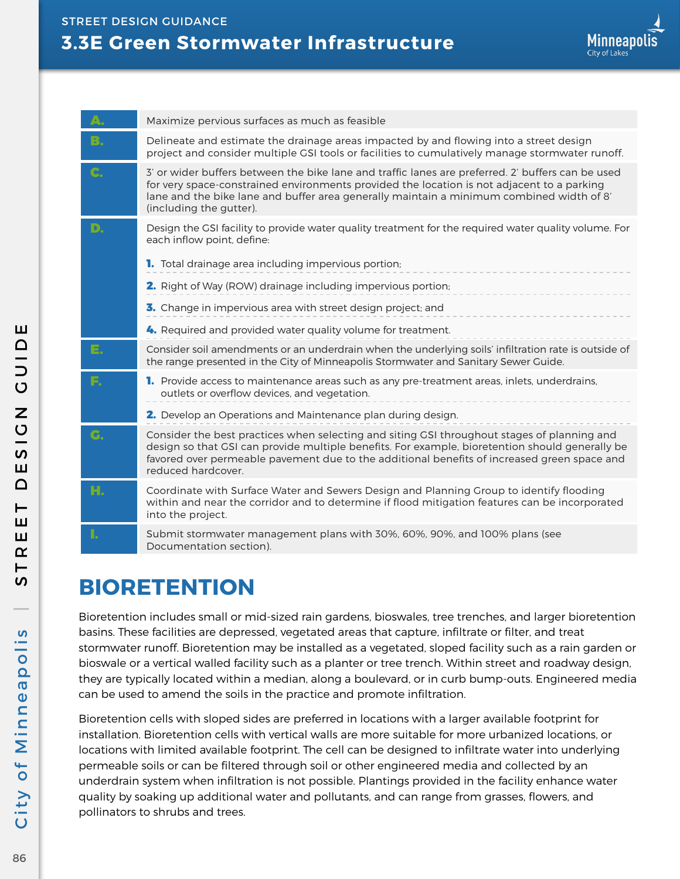|    | Maximize pervious surfaces as much as feasible                                                                                                                                                                                                                                                                         |
|----|------------------------------------------------------------------------------------------------------------------------------------------------------------------------------------------------------------------------------------------------------------------------------------------------------------------------|
| B. | Delineate and estimate the drainage areas impacted by and flowing into a street design<br>project and consider multiple GSI tools or facilities to cumulatively manage stormwater runoff.                                                                                                                              |
| C. | 3' or wider buffers between the bike lane and traffic lanes are preferred. 2' buffers can be used<br>for very space-constrained environments provided the location is not adjacent to a parking<br>lane and the bike lane and buffer area generally maintain a minimum combined width of 8'<br>(including the gutter). |
| D. | Design the GSI facility to provide water quality treatment for the required water quality volume. For<br>each inflow point, define:                                                                                                                                                                                    |
|    | <b>1.</b> Total drainage area including impervious portion;                                                                                                                                                                                                                                                            |
|    | 2. Right of Way (ROW) drainage including impervious portion;                                                                                                                                                                                                                                                           |
|    | 3. Change in impervious area with street design project; and                                                                                                                                                                                                                                                           |
|    | 4. Required and provided water quality volume for treatment.                                                                                                                                                                                                                                                           |
| E. | Consider soil amendments or an underdrain when the underlying soils' infiltration rate is outside of<br>the range presented in the City of Minneapolis Stormwater and Sanitary Sewer Guide.                                                                                                                            |
| F. | <b>1.</b> Provide access to maintenance areas such as any pre-treatment areas, inlets, underdrains,<br>outlets or overflow devices, and vegetation.                                                                                                                                                                    |
|    | 2. Develop an Operations and Maintenance plan during design.                                                                                                                                                                                                                                                           |
| G. | Consider the best practices when selecting and siting GSI throughout stages of planning and<br>design so that GSI can provide multiple benefits. For example, bioretention should generally be<br>favored over permeable pavement due to the additional benefits of increased green space and<br>reduced hardcover.    |
| H. | Coordinate with Surface Water and Sewers Design and Planning Group to identify flooding<br>within and near the corridor and to determine if flood mitigation features can be incorporated<br>into the project.                                                                                                         |
| ı. | Submit stormwater management plans with 30%, 60%, 90%, and 100% plans (see<br>Documentation section).                                                                                                                                                                                                                  |

# **BIORETENTION**

Bioretention includes small or mid-sized rain gardens, bioswales, tree trenches, and larger bioretention basins. These facilities are depressed, vegetated areas that capture, infiltrate or filter, and treat stormwater runoff. Bioretention may be installed as a vegetated, sloped facility such as a rain garden or bioswale or a vertical walled facility such as a planter or tree trench. Within street and roadway design, they are typically located within a median, along a boulevard, or in curb bump-outs. Engineered media can be used to amend the soils in the practice and promote infiltration.

Bioretention cells with sloped sides are preferred in locations with a larger available footprint for installation. Bioretention cells with vertical walls are more suitable for more urbanized locations, or locations with limited available footprint. The cell can be designed to infiltrate water into underlying permeable soils or can be filtered through soil or other engineered media and collected by an underdrain system when infiltration is not possible. Plantings provided in the facility enhance water quality by soaking up additional water and pollutants, and can range from grasses, flowers, and pollinators to shrubs and trees.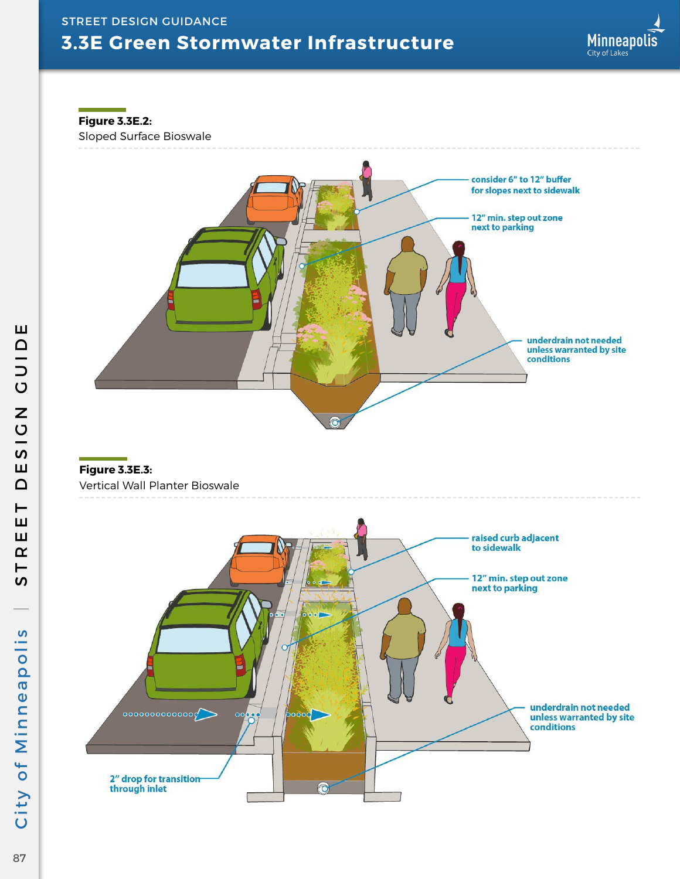**Figure 3.3E.2:**

Sloped Surface Bioswale



#### **Figure 3.3E.3:** Vertical Wall Planter Bioswale



Ш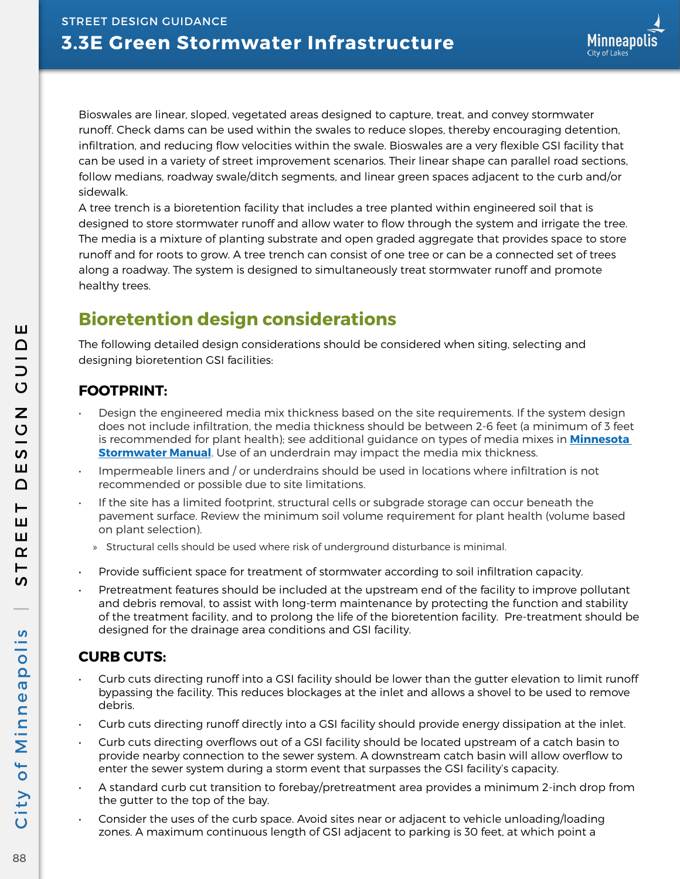Bioswales are linear, sloped, vegetated areas designed to capture, treat, and convey stormwater runoff. Check dams can be used within the swales to reduce slopes, thereby encouraging detention, infiltration, and reducing flow velocities within the swale. Bioswales are a very flexible GSI facility that can be used in a variety of street improvement scenarios. Their linear shape can parallel road sections, follow medians, roadway swale/ditch segments, and linear green spaces adjacent to the curb and/or sidewalk.

A tree trench is a bioretention facility that includes a tree planted within engineered soil that is designed to store stormwater runoff and allow water to flow through the system and irrigate the tree. The media is a mixture of planting substrate and open graded aggregate that provides space to store runoff and for roots to grow. A tree trench can consist of one tree or can be a connected set of trees along a roadway. The system is designed to simultaneously treat stormwater runoff and promote healthy trees.

## **Bioretention design considerations**

The following detailed design considerations should be considered when siting, selecting and designing bioretention GSI facilities:

### **FOOTPRINT:**

- Design the engineered media mix thickness based on the site requirements. If the system design does not include infiltration, the media thickness should be between 2-6 feet (a minimum of 3 feet is recommended for plant health); see additional guidance on types of media mixes in **[Minnesota](https://stormwater.pca.state.mn.us/index.php?title=Main_Page)  [Stormwater Manual](https://stormwater.pca.state.mn.us/index.php?title=Main_Page)**. Use of an underdrain may impact the media mix thickness.
- Impermeable liners and / or underdrains should be used in locations where infiltration is not recommended or possible due to site limitations.
- If the site has a limited footprint, structural cells or subgrade storage can occur beneath the pavement surface. Review the minimum soil volume requirement for plant health (volume based on plant selection).
	- » Structural cells should be used where risk of underground disturbance is minimal.
- Provide sufficient space for treatment of stormwater according to soil infiltration capacity.
- Pretreatment features should be included at the upstream end of the facility to improve pollutant and debris removal, to assist with long-term maintenance by protecting the function and stability of the treatment facility, and to prolong the life of the bioretention facility. Pre-treatment should be designed for the drainage area conditions and GSI facility.

### **CURB CUTS:**

- Curb cuts directing runoff into a GSI facility should be lower than the gutter elevation to limit runoff bypassing the facility. This reduces blockages at the inlet and allows a shovel to be used to remove debris.
- Curb cuts directing runoff directly into a GSI facility should provide energy dissipation at the inlet.
- Curb cuts directing overflows out of a GSI facility should be located upstream of a catch basin to provide nearby connection to the sewer system. A downstream catch basin will allow overflow to enter the sewer system during a storm event that surpasses the GSI facility's capacity.
- A standard curb cut transition to forebay/pretreatment area provides a minimum 2-inch drop from the gutter to the top of the bay.
- Consider the uses of the curb space. Avoid sites near or adjacent to vehicle unloading/loading zones. A maximum continuous length of GSI adjacent to parking is 30 feet, at which point a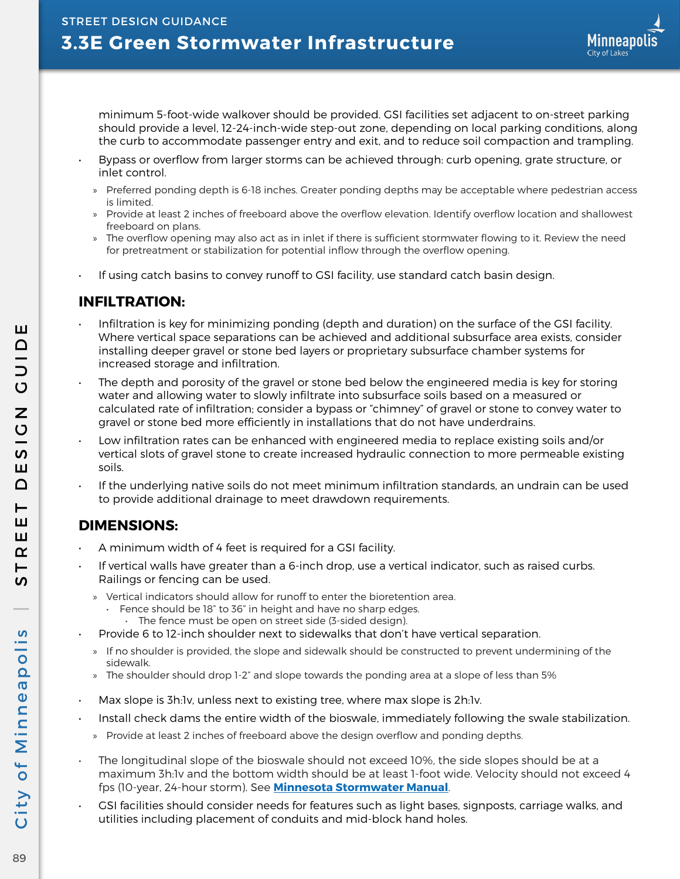minimum 5-foot-wide walkover should be provided. GSI facilities set adjacent to on-street parking should provide a level, 12-24-inch-wide step-out zone, depending on local parking conditions, along the curb to accommodate passenger entry and exit, and to reduce soil compaction and trampling.

- Bypass or overflow from larger storms can be achieved through: curb opening, grate structure, or inlet control.
	- » Preferred ponding depth is 6-18 inches. Greater ponding depths may be acceptable where pedestrian access is limited.
	- » Provide at least 2 inches of freeboard above the overflow elevation. Identify overflow location and shallowest freeboard on plans.
	- » The overflow opening may also act as in inlet if there is sufficient stormwater flowing to it. Review the need for pretreatment or stabilization for potential inflow through the overflow opening.
- If using catch basins to convey runoff to GSI facility, use standard catch basin design.

#### **INFILTRATION:**

- Infiltration is key for minimizing ponding (depth and duration) on the surface of the GSI facility. Where vertical space separations can be achieved and additional subsurface area exists, consider installing deeper gravel or stone bed layers or proprietary subsurface chamber systems for increased storage and infiltration.
- $\cdot$  The depth and porosity of the gravel or stone bed below the engineered media is key for storing water and allowing water to slowly infiltrate into subsurface soils based on a measured or calculated rate of infiltration; consider a bypass or "chimney" of gravel or stone to convey water to gravel or stone bed more efficiently in installations that do not have underdrains.
- Low infiltration rates can be enhanced with engineered media to replace existing soils and/or vertical slots of gravel stone to create increased hydraulic connection to more permeable existing soils.
- If the underlying native soils do not meet minimum infiltration standards, an undrain can be used to provide additional drainage to meet drawdown requirements.

#### **DIMENSIONS:**

- A minimum width of 4 feet is required for a GSI facility.
- If vertical walls have greater than a 6-inch drop, use a vertical indicator, such as raised curbs. Railings or fencing can be used.
	- » Vertical indicators should allow for runoff to enter the bioretention area.
		- Fence should be 18" to 36" in height and have no sharp edges.
		- The fence must be open on street side (3-sided design).
	- Provide 6 to 12-inch shoulder next to sidewalks that don't have vertical separation.
	- » If no shoulder is provided, the slope and sidewalk should be constructed to prevent undermining of the sidewalk.
	- » The shoulder should drop 1-2" and slope towards the ponding area at a slope of less than 5%
- Max slope is 3h:1v, unless next to existing tree, where max slope is 2h:1v.
- Install check dams the entire width of the bioswale, immediately following the swale stabilization.
	- » Provide at least 2 inches of freeboard above the design overflow and ponding depths.
- The longitudinal slope of the bioswale should not exceed 10%, the side slopes should be at a maximum 3h:1v and the bottom width should be at least 1-foot wide. Velocity should not exceed 4 fps (10-year, 24-hour storm). See **[Minnesota Stormwater Manual](https://stormwater.pca.state.mn.us/index.php?title=Main_Page)**.
- GSI facilities should consider needs for features such as light bases, signposts, carriage walks, and utilities including placement of conduits and mid-block hand holes.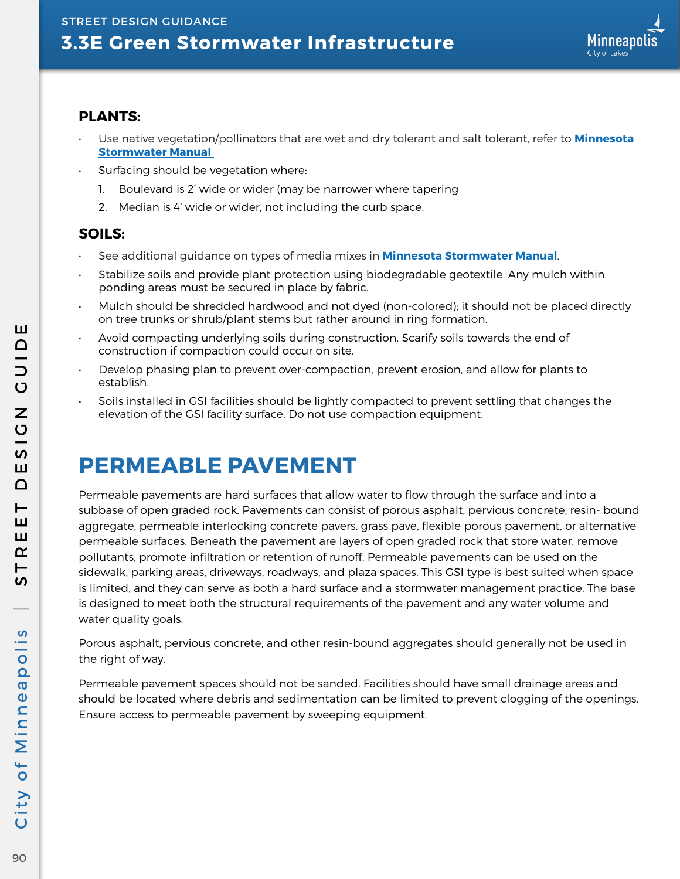

#### **PLANTS:**

- Use native vegetation/pollinators that are wet and dry tolerant and salt tolerant, refer to **[Minnesota](https://stormwater.pca.state.mn.us/index.php?title=Main_Page)  [Stormwater Manual](https://stormwater.pca.state.mn.us/index.php?title=Main_Page)**
- Surfacing should be vegetation where:
	- 1. Boulevard is 2' wide or wider (may be narrower where tapering
	- 2. Median is 4' wide or wider, not including the curb space.

#### **SOILS:**

- See additional guidance on types of media mixes in **[Minnesota Stormwater Manual](https://stormwater.pca.state.mn.us/index.php?title=Main_Page)**.
- Stabilize soils and provide plant protection using biodegradable geotextile. Any mulch within ponding areas must be secured in place by fabric.
- Mulch should be shredded hardwood and not dyed (non-colored); it should not be placed directly on tree trunks or shrub/plant stems but rather around in ring formation.
- Avoid compacting underlying soils during construction. Scarify soils towards the end of construction if compaction could occur on site.
- Develop phasing plan to prevent over-compaction, prevent erosion, and allow for plants to establish.
- Soils installed in GSI facilities should be lightly compacted to prevent settling that changes the elevation of the GSI facility surface. Do not use compaction equipment.

# **PERMEABLE PAVEMENT**

Permeable pavements are hard surfaces that allow water to flow through the surface and into a subbase of open graded rock. Pavements can consist of porous asphalt, pervious concrete, resin- bound aggregate, permeable interlocking concrete pavers, grass pave, flexible porous pavement, or alternative permeable surfaces. Beneath the pavement are layers of open graded rock that store water, remove pollutants, promote infiltration or retention of runoff. Permeable pavements can be used on the sidewalk, parking areas, driveways, roadways, and plaza spaces. This GSI type is best suited when space is limited, and they can serve as both a hard surface and a stormwater management practice. The base is designed to meet both the structural requirements of the pavement and any water volume and water quality goals.

Porous asphalt, pervious concrete, and other resin-bound aggregates should generally not be used in the right of way.

Permeable pavement spaces should not be sanded. Facilities should have small drainage areas and should be located where debris and sedimentation can be limited to prevent clogging of the openings. Ensure access to permeable pavement by sweeping equipment.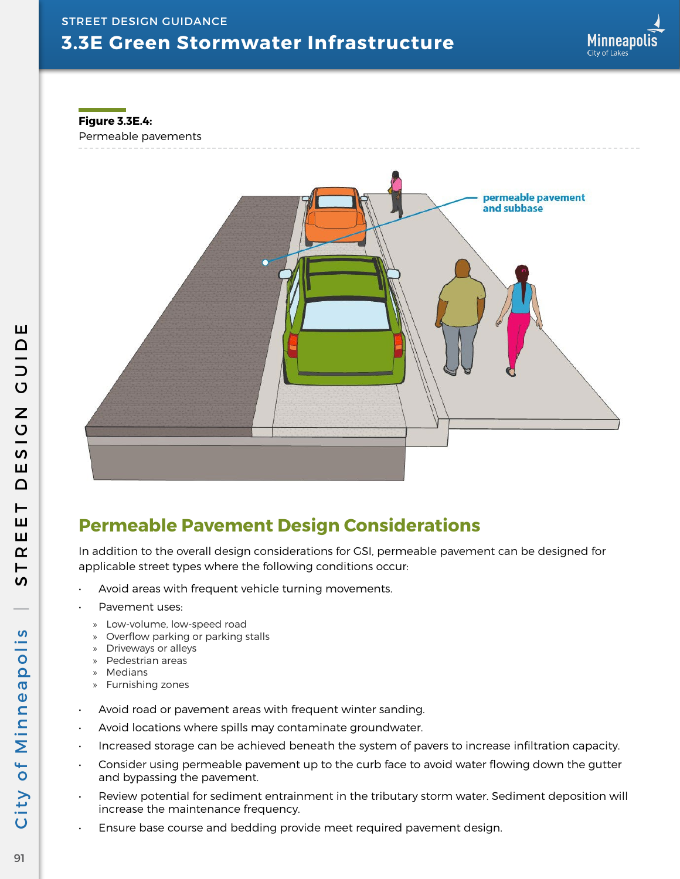**Figure 3.3E.4:**

Permeable pavements



## **Permeable Pavement Design Considerations**

In addition to the overall design considerations for GSI, permeable pavement can be designed for applicable street types where the following conditions occur:

- Avoid areas with frequent vehicle turning movements.
- Pavement uses:
	- » Low-volume, low-speed road
- » Overflow parking or parking stalls
- » Driveways or alleys » Pedestrian areas
- 
- » Medians
- » Furnishing zones
- Avoid road or pavement areas with frequent winter sanding.
- Avoid locations where spills may contaminate groundwater.
- Increased storage can be achieved beneath the system of pavers to increase infiltration capacity.
- Consider using permeable pavement up to the curb face to avoid water flowing down the gutter and bypassing the pavement.
- Review potential for sediment entrainment in the tributary storm water. Sediment deposition will increase the maintenance frequency.
- Ensure base course and bedding provide meet required pavement design.